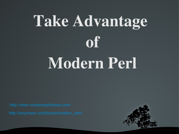# Take Advantage of Modern Perl

<http://www.modernperlbooks.com/> [http://onyxneon.com/books/modern\\_perl/](http://onyxneon.com/books/modern_perl/)

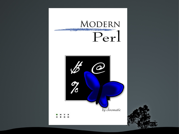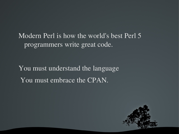Modern Perl is how the world's best Perl 5 programmers write great code.

You must understand the language You must embrace the CPAN.

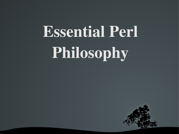# Essential Perl Philosophy

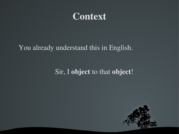

#### You already understand this in English.

#### Sir, I object to that object!

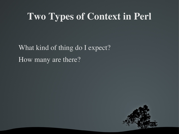# Two Types of Context in Perl

What kind of thing do I expect? How many are there?

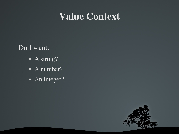# Value Context

Do I want:

- A string?
- A number?
- An integer?

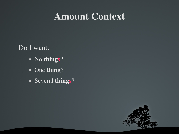# Amount Context

Do I want:

- No things?
- One thing?
- Several things?

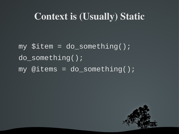# Context is (Usually) Static

my \$item = do\_something(); do\_something();  $my$  @items = do\_something();

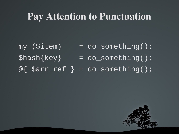## Pay Attention to Punctuation

- $my$  (\$item) = do\_something();
- $\{\text{key}\}$  = do\_something();
- $@{$  \$arr\_ref } = do\_something();

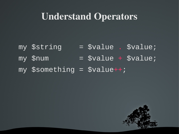# Understand Operators

my \$string = \$value . \$value;  $my$  \$num = \$value + \$value; my  $$something = $value++;$ 

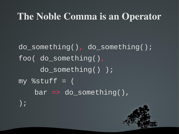# The Noble Comma is an Operator

do\_something(), do\_something(); foo( do\_something(), do\_something() );  $my$  %stuff = (  $bar = > do_s$ omething(), );

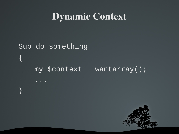# **Dynamic Context**

# Sub do\_something  $\left| \right\rangle$ my  $\text{Scontext} = \text{wantarray}()$ ;

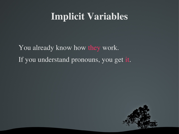# Implicit Variables

You already know how they work. If you understand pronouns, you get it.

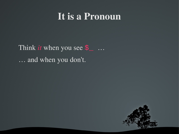# It is a Pronoun

Think *it* when you see  $\frac{1}{2}$  ... ... and when you don't.

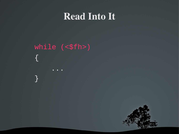# **Read Into It**

# $while (  $=$$  $\overline{\mathcal{X}}$  $\}$

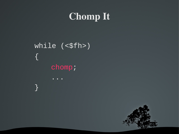# **Chomp It**

while  $(\leq$  fh>)  $\sqrt{2}$ chomp;

 $\}$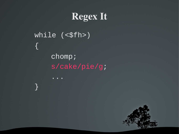# **Regex It**

while  $(sffh>$  $\big\{$ 

 $\big\}$ 

## chomp; s/cake/pie/g;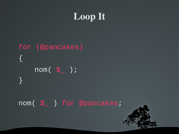# Loop It

# for (@pancakes) { nom( \$\_ ); }

#### nom( \$\_ ) for @pancakes;

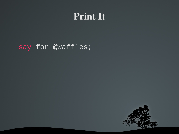# Print It

#### say for @waffles;

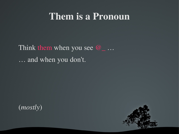## Them is a Pronoun

Think them when you see  $\omega_{\perp}$ ... ... and when you don't.

 $(mostly)$ 

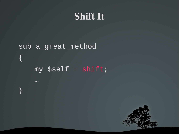# **Shift It**

# sub a\_great\_method  $\{$ my \$self = shift;

 $\sim 100$ 

 $\sum_{i=1}^{n}$ 

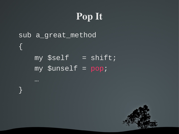# Pop It

# sub a\_great\_method {  $my$   $$self$  =  $shift;$ my \$unself = pop;

…

}

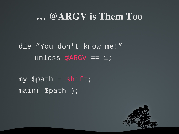## ... @ARGV is Them Too

die "You don't know me!" unless @ARGV ==  $1$ ;

 $my$  \$path = shift;  $main($  \$path  $);$ 

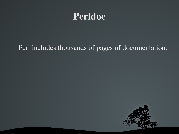# Perldoc

#### Perl includes thousands of pages of documentation.

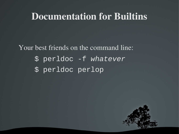## **Documentation for Builtins**

Your best friends on the command line: \$ perldoc -f whatever \$ perldoc perlop

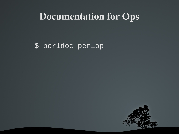## **Documentation for Ops**

#### \$ perldoc perlop

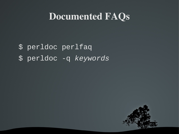## Documented FAQs

# \$ perldoc perlfaq \$ perldoc -q *keywords*

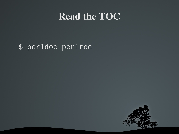# **Read the TOC**

#### \$ perldoc perltoc

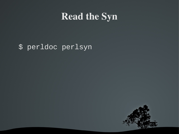# **Read the Syn**

#### \$ perldoc perlsyn

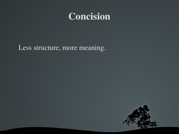# **Concision**

Less structure, more meaning.

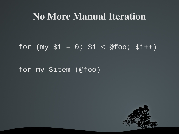## No More Manual Iteration

#### for  $(my \$i = 0; \$i < @foo; \$i++)$

#### for my \$item (@foo)

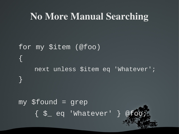# No More Manual Searching

# for my \$item (@foo) { next unless \$item eq 'Whatever'; }  $my$  \$found = grep { \$\_ eq 'Whatever' } @foo;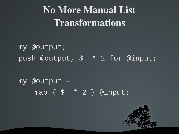# No More Manual List Transformations

my @output; push @output, \$\_ \* 2 for @input;

 $my$  @output = map { \$\_ \* 2 } @input;

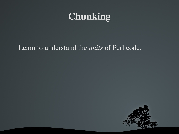# Chunking

#### Learn to understand the *units* of Perl code.

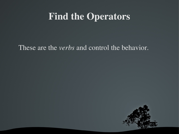# Find the Operators

These are the *verbs* and control the behavior.

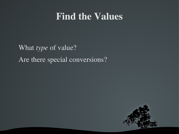# Find the Values

What *type* of value? Are there special conversions?

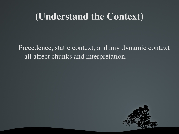# (Understand the Context)

Precedence, static context, and any dynamic context all affect chunks and interpretation.

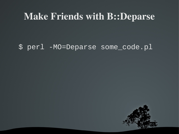### **Make Friends with B::Deparse**

#### \$ perl -MO=Deparse some\_code.pl

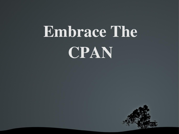# Embrace The CPAN

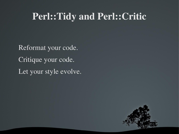# Perl::Tidy and Perl::Critic

Reformat your code. Critique your code. Let your style evolve.

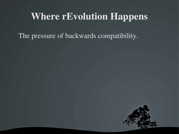# Where rEvolution Happens

The pressure of backwards compatibility.

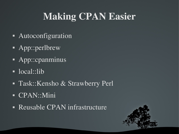# Making CPAN Easier

- Autoconfiguration
- App::perlbrew
- **App::cpanminus**
- $\overline{\phantom{a}}$  local::lib
- **Task::Kensho & Strawberry Perl**
- CPAN::Mini
- Reusable CPAN infrastructure

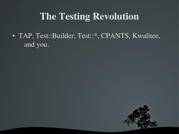# **The Testing Revolution**

• TAP, Test::Builder, Test::\*, CPANTS, Kwalitee, and you.

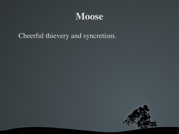# Moose

Cheerful thievery and syncretism.

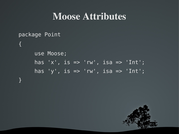# Moose Attributes

```
package Point
{
     use Moose;
     has 'x', is => 'rw', isa => 'Int';
     has 'y', is => 'rw', isa => 'Int';
}
```
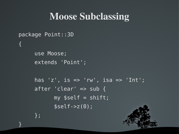# Moose Subclassing

```
package Point::3D
{
     use Moose;
     extends 'Point';
     has 'z', is => 'rw', isa => 'Int';
     after 'clear' => sub {
           my $self = shift;$self->z(0);};
```
}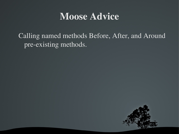# Moose Advice

Calling named methods Before, After, and Around pre-existing methods.

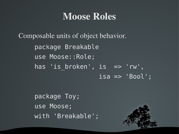# Moose Roles

Composable units of object behavior. package Breakable use Moose::Role; has 'is broken', is => 'rw',  $isa \Rightarrow 'Bool';$ package Breakable; is == 'n die volgens van die volgens van die volgens van die volgens van die volgens van die volgens van die v isa => 'Bool',

> package Toy; use Moose; with 'Breakable';

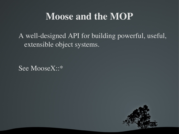# Moose and the MOP

A well-designed API for building powerful, useful, extensible object systems.

See MooseX::\*

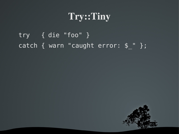# Try::Tiny

try { die "foo" } catch { warn "caught error: \$\_" };

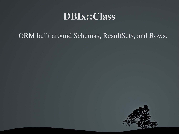# DBIx::Class

#### ORM built around Schemas, ResultSets, and Rows.

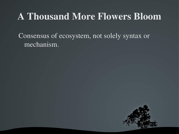# A Thousand More Flowers Bloom

Consensus of ecosystem, not solely syntax or mechanism.